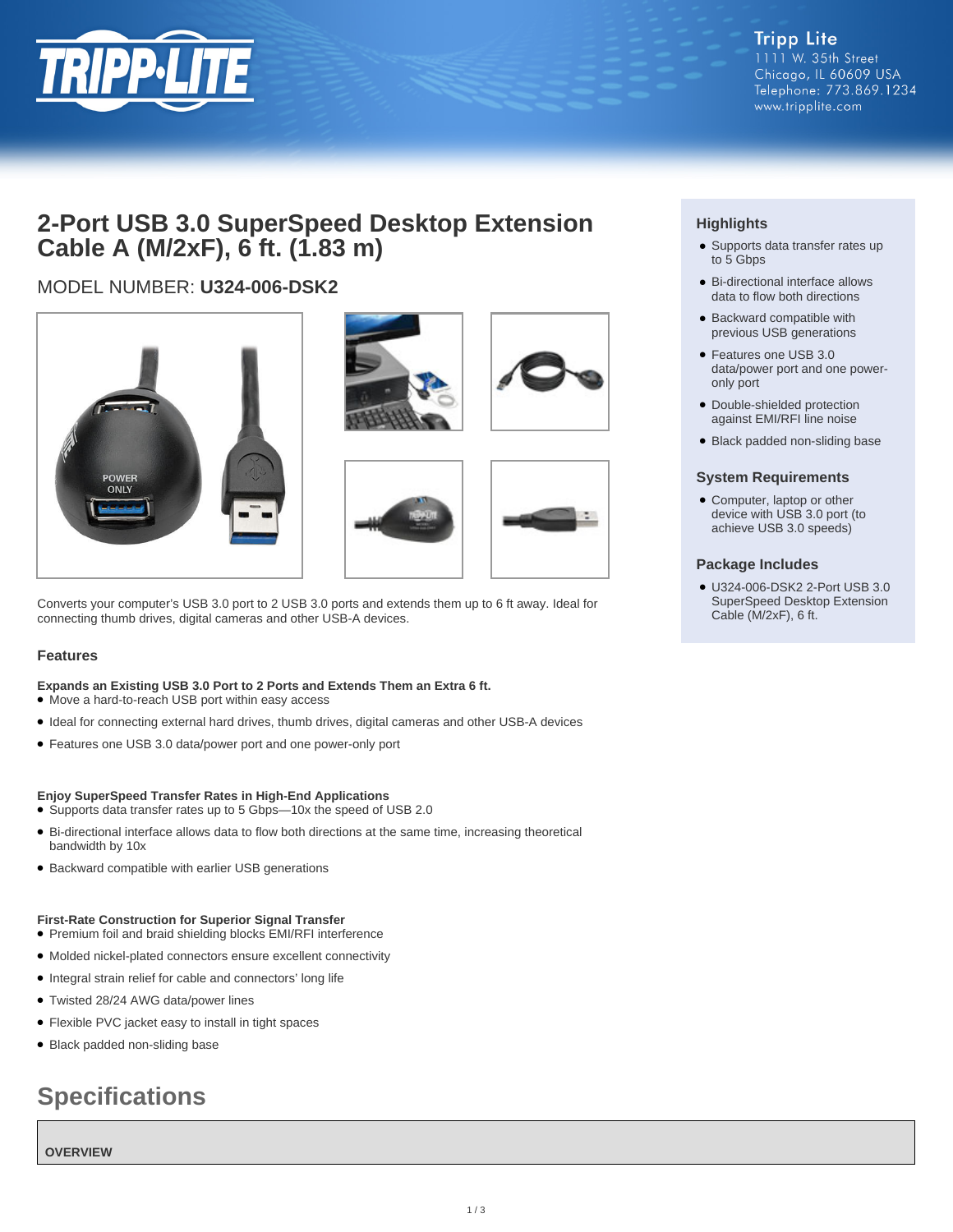

# **2-Port USB 3.0 SuperSpeed Desktop Extension Cable A (M/2xF), 6 ft. (1.83 m)**

## MODEL NUMBER: **U324-006-DSK2**







Converts your computer's USB 3.0 port to 2 USB 3.0 ports and extends them up to 6 ft away. Ideal for connecting thumb drives, digital cameras and other USB-A devices.

#### **Features**

#### **Expands an Existing USB 3.0 Port to 2 Ports and Extends Them an Extra 6 ft.**

- Move a hard-to-reach USB port within easy access
- Ideal for connecting external hard drives, thumb drives, digital cameras and other USB-A devices
- Features one USB 3.0 data/power port and one power-only port

#### **Enjoy SuperSpeed Transfer Rates in High-End Applications**

- Supports data transfer rates up to 5 Gbps—10x the speed of USB 2.0
- Bi-directional interface allows data to flow both directions at the same time, increasing theoretical bandwidth by 10x
- Backward compatible with earlier USB generations

#### **First-Rate Construction for Superior Signal Transfer**

- Premium foil and braid shielding blocks EMI/RFI interference
- Molded nickel-plated connectors ensure excellent connectivity
- Integral strain relief for cable and connectors' long life
- Twisted 28/24 AWG data/power lines
- Flexible PVC jacket easy to install in tight spaces
- Black padded non-sliding base

# **Specifications**

**OVERVIEW**

### **Highlights**

- Supports data transfer rates up to 5 Gbps
- Bi-directional interface allows data to flow both directions
- Backward compatible with previous USB generations
- Features one USB 3.0 data/power port and one poweronly port
- Double-shielded protection against EMI/RFI line noise
- Black padded non-sliding base

#### **System Requirements**

• Computer, laptop or other device with USB 3.0 port (to achieve USB 3.0 speeds)

#### **Package Includes**

U324-006-DSK2 2-Port USB 3.0 ● SuperSpeed Desktop Extension Cable (M/2xF), 6 ft.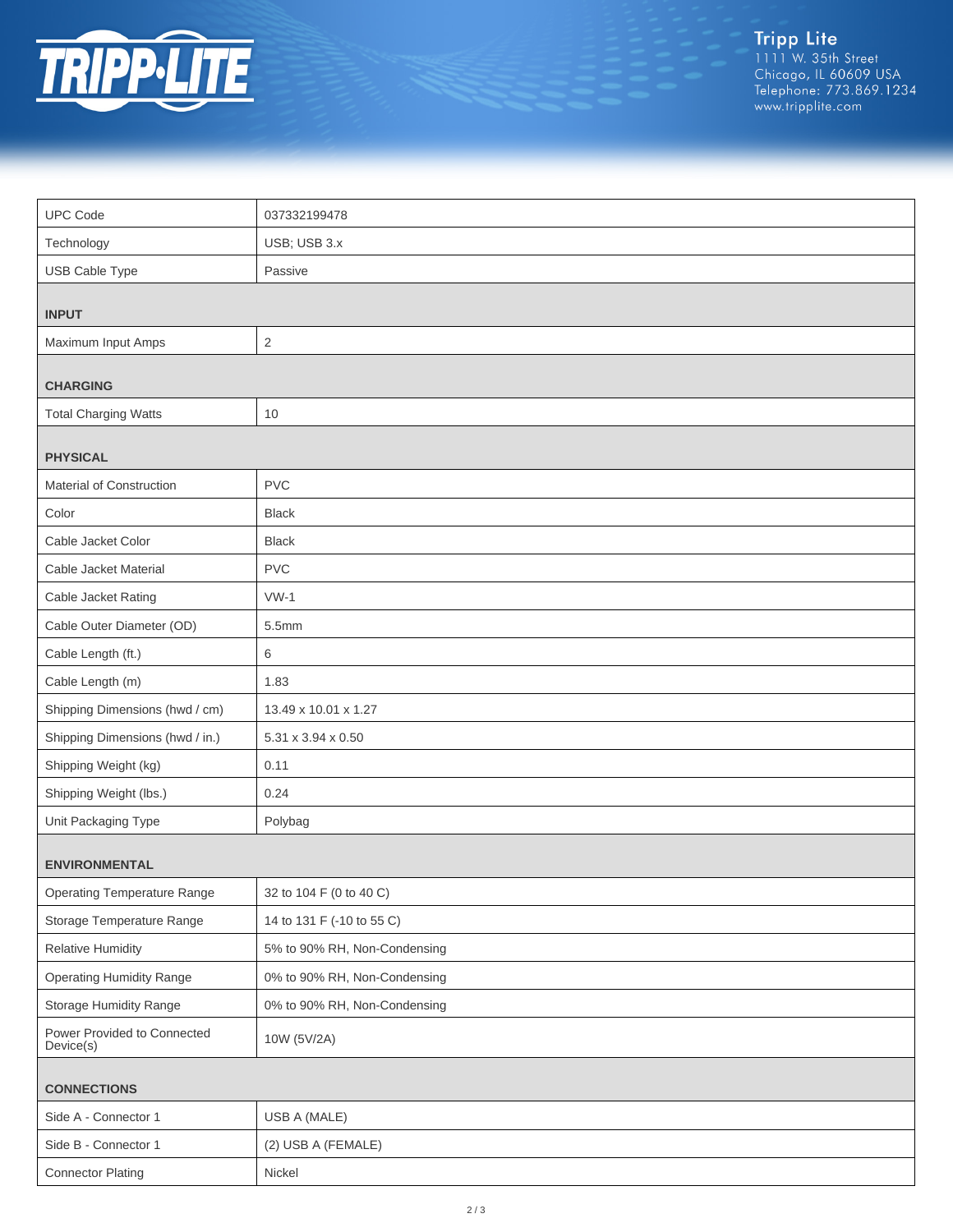

Tripp Lite<br>1111 W. 35th Street<br>Chicago, IL 60609 USA<br>Telephone: 773.869.1234<br>www.tripplite.com

| <b>UPC Code</b>                          | 037332199478                 |  |
|------------------------------------------|------------------------------|--|
| Technology                               | USB; USB 3.x                 |  |
| USB Cable Type                           | Passive                      |  |
|                                          |                              |  |
| <b>INPUT</b>                             |                              |  |
| Maximum Input Amps                       | $\sqrt{2}$                   |  |
| <b>CHARGING</b>                          |                              |  |
| <b>Total Charging Watts</b>              | 10                           |  |
| <b>PHYSICAL</b>                          |                              |  |
| Material of Construction                 | <b>PVC</b>                   |  |
| Color                                    | <b>Black</b>                 |  |
| Cable Jacket Color                       | <b>Black</b>                 |  |
| Cable Jacket Material                    | <b>PVC</b>                   |  |
| Cable Jacket Rating                      | $VW-1$                       |  |
| Cable Outer Diameter (OD)                | 5.5mm                        |  |
| Cable Length (ft.)                       | $\,6$                        |  |
| Cable Length (m)                         | 1.83                         |  |
| Shipping Dimensions (hwd / cm)           | 13.49 x 10.01 x 1.27         |  |
| Shipping Dimensions (hwd / in.)          | 5.31 x 3.94 x 0.50           |  |
| Shipping Weight (kg)                     | 0.11                         |  |
| Shipping Weight (lbs.)                   | 0.24                         |  |
| Unit Packaging Type                      | Polybag                      |  |
| <b>ENVIRONMENTAL</b>                     |                              |  |
| <b>Operating Temperature Range</b>       | 32 to 104 F (0 to 40 C)      |  |
| Storage Temperature Range                | 14 to 131 F (-10 to 55 C)    |  |
| <b>Relative Humidity</b>                 | 5% to 90% RH, Non-Condensing |  |
| <b>Operating Humidity Range</b>          | 0% to 90% RH, Non-Condensing |  |
| Storage Humidity Range                   | 0% to 90% RH, Non-Condensing |  |
| Power Provided to Connected<br>Device(s) | 10W (5V/2A)                  |  |
| <b>CONNECTIONS</b>                       |                              |  |
| Side A - Connector 1                     | USB A (MALE)                 |  |
| Side B - Connector 1                     | (2) USB A (FEMALE)           |  |
| <b>Connector Plating</b>                 | Nickel                       |  |